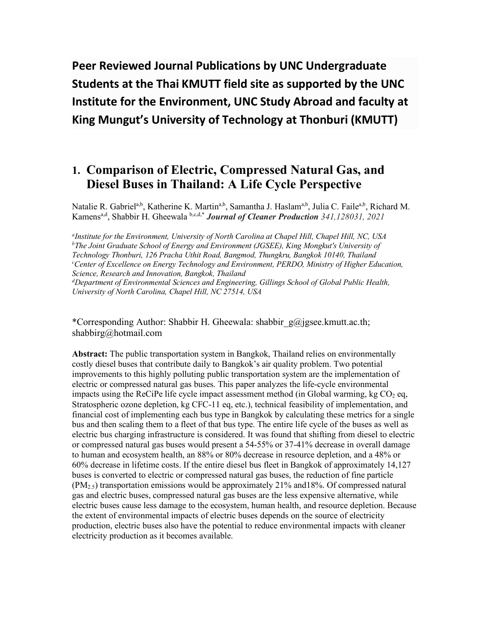**Peer Reviewed Journal Publications by UNC Undergraduate Students at the Thai KMUTT field site as supported by the UNC Institute for the Environment, UNC Study Abroad and faculty at King Mungut's University of Technology at Thonburi (KMUTT)**

# **1. Comparison of Electric, Compressed Natural Gas, and Diesel Buses in Thailand: A Life Cycle Perspective**

Natalie R. Gabriel<sup>a,b</sup>, Katherine K. Martin<sup>a,b</sup>, Samantha J. Haslam<sup>a,b</sup>, Julia C. Faile<sup>a,b</sup>, Richard M. Kamens<sup>a,d</sup>, Shabbir H. Gheewala b,c,d,\* *Journal of Cleaner Production* 341,128031, 2021

*a Institute for the Environment, University of North Carolina at Chapel Hill, Chapel Hill, NC, USA b The Joint Graduate School of Energy and Environment (JGSEE), King Mongkut's University of Technology Thonburi, 126 Pracha Uthit Road, Bangmod, Thungkru, Bangkok 10140, Thailand c Center of Excellence on Energy Technology and Environment, PERDO, Ministry of Higher Education, Science, Research and Innovation, Bangkok, Thailand d Department of Environmental Sciences and Engineering, Gillings School of Global Public Health,* 

*University of North Carolina, Chapel Hill, NC 27514, USA*

\*Corresponding Author: Shabbir H. Gheewala: shabbir\_g@jgsee.kmutt.ac.th; shabbirg@hotmail.com

**Abstract:** The public transportation system in Bangkok, Thailand relies on environmentally costly diesel buses that contribute daily to Bangkok's air quality problem. Two potential improvements to this highly polluting public transportation system are the implementation of electric or compressed natural gas buses. This paper analyzes the life-cycle environmental impacts using the ReCiPe life cycle impact assessment method (in Global warming, kg  $CO<sub>2</sub>$  eq, Stratospheric ozone depletion, kg CFC-11 eq, etc.), technical feasibility of implementation, and financial cost of implementing each bus type in Bangkok by calculating these metrics for a single bus and then scaling them to a fleet of that bus type. The entire life cycle of the buses as well as electric bus charging infrastructure is considered. It was found that shifting from diesel to electric or compressed natural gas buses would present a 54-55% or 37-41% decrease in overall damage to human and ecosystem health, an 88% or 80% decrease in resource depletion, and a 48% or 60% decrease in lifetime costs. If the entire diesel bus fleet in Bangkok of approximately 14,127 buses is converted to electric or compressed natural gas buses, the reduction of fine particle  $(PM_{2.5})$  transportation emissions would be approximately 21% and 18%. Of compressed natural gas and electric buses, compressed natural gas buses are the less expensive alternative, while electric buses cause less damage to the ecosystem, human health, and resource depletion. Because the extent of environmental impacts of electric buses depends on the source of electricity production, electric buses also have the potential to reduce environmental impacts with cleaner electricity production as it becomes available.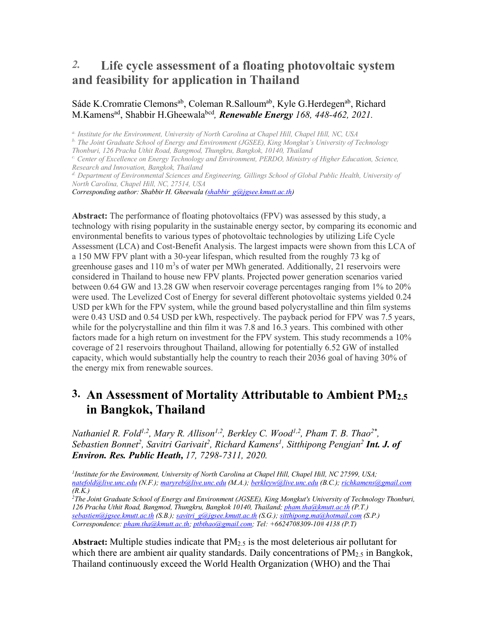# *2.* **Life cycle assessment of a floating photovoltaic system and feasibility for application in Thailand**

#### Sáde K.Cromratie Clemons<sup>ab</sup>, Coleman R.Salloum<sup>ab</sup>, Kyle G.Herdegen<sup>ab</sup>, Richard M.Kamens<sup>ad</sup>, Shabbir H.Gheewala<sup>bed</sup>, *Renewable Energy 168, 448-462, 2021.*

*a. Institute for the Environment, University of North Carolina at Chapel Hill, Chapel Hill, NC, USA*

*b. The Joint Graduate School of Energy and Environment (JGSEE), King Mongkut's University of Technology* 

*Thonburi, 126 Pracha Uthit Road, Bangmod, Thungkru, Bangkok, 10140, Thailand*

*c. Center of Excellence on Energy Technology and Environment, PERDO, Ministry of Higher Education, Science, Research and Innovation, Bangkok, Thailand*

*Corresponding author: Shabbir H. Gheewala (shabbir\_g@jgsee.kmutt.ac.th)*

**Abstract:** The performance of floating photovoltaics (FPV) was assessed by this study, a technology with rising popularity in the sustainable energy sector, by comparing its economic and environmental benefits to various types of photovoltaic technologies by utilizing Life Cycle Assessment (LCA) and Cost-Benefit Analysis. The largest impacts were shown from this LCA of a 150 MW FPV plant with a 30-year lifespan, which resulted from the roughly 73 kg of greenhouse gases and  $110 \text{ m}^3$ s of water per MWh generated. Additionally, 21 reservoirs were considered in Thailand to house new FPV plants. Projected power generation scenarios varied between 0.64 GW and 13.28 GW when reservoir coverage percentages ranging from 1% to 20% were used. The Levelized Cost of Energy for several different photovoltaic systems yielded 0.24 USD per kWh for the FPV system, while the ground based polycrystalline and thin film systems were 0.43 USD and 0.54 USD per kWh, respectively. The payback period for FPV was 7.5 years, while for the polycrystalline and thin film it was 7.8 and 16.3 years. This combined with other factors made for a high return on investment for the FPV system. This study recommends a 10% coverage of 21 reservoirs throughout Thailand, allowing for potentially 6.52 GW of installed capacity, which would substantially help the country to reach their 2036 goal of having 30% of the energy mix from renewable sources.

# **3. An Assessment of Mortality Attributable to Ambient PM2.5 in Bangkok, Thailand**

*Nathaniel R. Fold<sup>1,2</sup>, Mary R. Allison<sup>1,2</sup>, Berkley C. Wood<sup>1,2</sup>, Pham T. B. Thao<sup>2\*</sup>, Sebastien Bonnet2 , Savitri Garivait2 , Richard Kamens1 , Sitthipong Pengjan2 Int. J. of Environ. Res. Public Heath, 17, 7298-7311, 2020.*

*1Institute for the Environment, University of North Carolina at Chapel Hill, Chapel Hill, NC 27599, USA; natefold@live.unc.edu (N.F.); maryreb@live.unc.edu (M.A.); berkleyw@live.unc.edu (B.C.); richkamens@gmail.com (R.K.)* 

*2 The Joint Graduate School of Energy and Environment (JGSEE), King Mongkut's University of Technology Thonburi, 126 Pracha Uthit Road, Bangmod, Thungkru, Bangkok 10140, Thailand; pham.tha@kmutt.ac.th (P.T.) sebastien@jgsee.kmutt.ac.th (S.B.); savitri\_g@jgsee.kmutt.ac.th (S.G.); sitthipong.ma@hotmail.com (S.P.) Correspondence: pham.tha@kmutt.ac.th; ptbthao@gmail.com; Tel: +6624708309-10# 4138 (P.T)*

**Abstract:** Multiple studies indicate that PM2.5 is the most deleterious air pollutant for which there are ambient air quality standards. Daily concentrations of PM<sub>2.5</sub> in Bangkok, Thailand continuously exceed the World Health Organization (WHO) and the Thai

*d. Department of Environmental Sciences and Engineering, Gillings School of Global Public Health, University of North Carolina, Chapel Hill, NC, 27514, USA*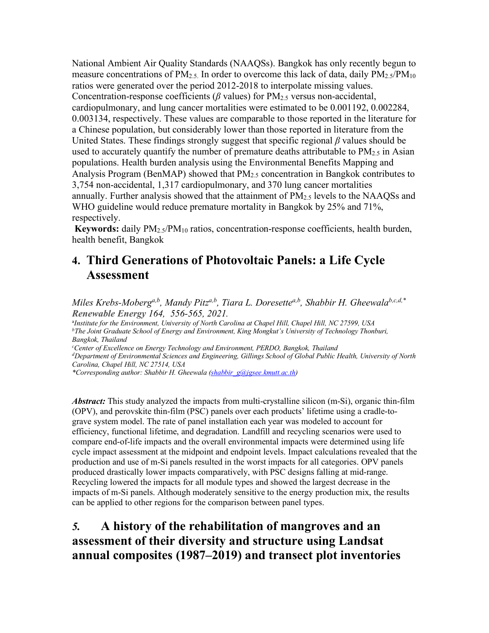National Ambient Air Quality Standards (NAAQSs). Bangkok has only recently begun to measure concentrations of  $PM_{2.5}$ . In order to overcome this lack of data, daily  $PM_{2.5}/PM_{10}$ ratios were generated over the period 2012-2018 to interpolate missing values. Concentration-response coefficients ( $\beta$  values) for PM<sub>2.5</sub> versus non-accidental, cardiopulmonary, and lung cancer mortalities were estimated to be 0.001192, 0.002284, 0.003134, respectively. These values are comparable to those reported in the literature for a Chinese population, but considerably lower than those reported in literature from the United States. These findings strongly suggest that specific regional *β* values should be used to accurately quantify the number of premature deaths attributable to  $PM_{2.5}$  in Asian populations. Health burden analysis using the Environmental Benefits Mapping and Analysis Program (BenMAP) showed that  $PM_{2.5}$  concentration in Bangkok contributes to 3,754 non-accidental, 1,317 cardiopulmonary, and 370 lung cancer mortalities annually. Further analysis showed that the attainment of PM2.5 levels to the NAAQSs and WHO guideline would reduce premature mortality in Bangkok by 25% and 71%, respectively.

**Keywords:** daily PM2.5/PM10 ratios, concentration-response coefficients, health burden, health benefit, Bangkok

# **4. Third Generations of Photovoltaic Panels: a Life Cycle Assessment**

*Miles Krebs-Moberg<sup>a,b</sup>, Mandy Pitz<sup>a,b</sup>, Tiara L. Doresette<sup>a,b</sup>, Shabbir H. Gheewala<sup>b,c,d,\*</sup> Renewable Energy 164, 556-565, 2021.*

a *Institute for the Environment, University of North Carolina at Chapel Hill, Chapel Hill, NC 27599, USA bThe Joint Graduate School of Energy and Environment, King Mongkut's University of Technology Thonburi, Bangkok, Thailand*

*c Center of Excellence on Energy Technology and Environment, PERDO, Bangkok, Thailand*

*dDepartment of Environmental Sciences and Engineering, Gillings School of Global Public Health, University of North Carolina, Chapel Hill, NC 27514, USA* 

*\*Corresponding author: Shabbir H. Gheewala (shabbir\_g@jgsee.kmutt.ac.th)*

*Abstract:* This study analyzed the impacts from multi-crystalline silicon (m-Si), organic thin-film (OPV), and perovskite thin-film (PSC) panels over each products' lifetime using a cradle-tograve system model. The rate of panel installation each year was modeled to account for efficiency, functional lifetime, and degradation. Landfill and recycling scenarios were used to compare end-of-life impacts and the overall environmental impacts were determined using life cycle impact assessment at the midpoint and endpoint levels. Impact calculations revealed that the production and use of m-Si panels resulted in the worst impacts for all categories. OPV panels produced drastically lower impacts comparatively, with PSC designs falling at mid-range. Recycling lowered the impacts for all module types and showed the largest decrease in the impacts of m-Si panels. Although moderately sensitive to the energy production mix, the results can be applied to other regions for the comparison between panel types.

# *5.* **A history of the rehabilitation of mangroves and an assessment of their diversity and structure using Landsat annual composites (1987–2019) and transect plot inventories**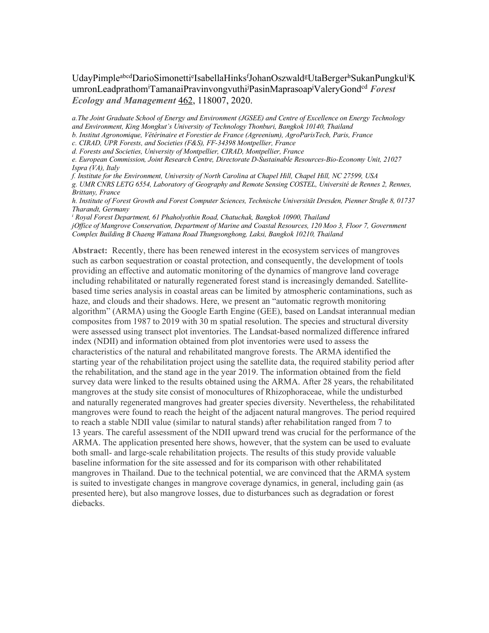#### UdayPimple<sup>abcd</sup>DarioSimonetti<sup>e</sup>IsabellaHinks<sup>f</sup>JohanOszwald<sup>g</sup>UtaBerger<sup>h</sup>SukanPungkul<sup>i</sup>K umronLeadprathom<sup>i</sup>TamanaiPravinvongvuthi<sup>j</sup>PasinMaprasoap<sup>j</sup>ValeryGond<sup>cd</sup> Forest *Ecology and Management* 462, 118007, 2020.

*a.The Joint Graduate School of Energy and Environment (JGSEE) and Centre of Excellence on Energy Technology and Environment, King Mongkut's University of Technology Thonburi, Bangkok 10140, Thailand*

*b. Institut Agronomique, Vétérinaire et Forestier de France (Agreenium), AgroParisTech, Paris, France*

*c. CIRAD, UPR Forests, and Societies (F&S), FF-34398 Montpellier, France*

*d. Forests and Societies, University of Montpellier, CIRAD, Montpellier, France*

*e. European Commission, Joint Research Centre, Directorate D-Sustainable Resources-Bio-Economy Unit, 21027 Ispra (VA), Italy*

*f. Institute for the Environment, University of North Carolina at Chapel Hill, Chapel Hill, NC 27599, USA*

*g. UMR CNRS LETG 6554, Laboratory of Geography and Remote Sensing COSTEL, Université de Rennes 2, Rennes, Brittany, France*

*h. Institute of Forest Growth and Forest Computer Sciences, Technische Universität Dresden, Pienner Straße 8, 01737 Tharandt, Germany*

*<sup>i</sup> Royal Forest Department, 61 Phaholyothin Road, Chatuchak, Bangkok 10900, Thailand jOffice of Mangrove Conservation, Department of Marine and Coastal Resources, 120 Moo 3, Floor 7, Government* 

*Complex Building B Chaeng Wattana Road Thungsonghong, Laksi, Bangkok 10210, Thailand*

**Abstract:** Recently, there has been renewed interest in the ecosystem services of mangroves such as carbon sequestration or coastal protection, and consequently, the development of tools providing an effective and automatic monitoring of the dynamics of mangrove land coverage including rehabilitated or naturally regenerated forest stand is increasingly demanded. Satellitebased time series analysis in coastal areas can be limited by atmospheric contaminations, such as haze, and clouds and their shadows. Here, we present an "automatic regrowth monitoring algorithm" (ARMA) using the Google Earth Engine (GEE), based on Landsat interannual median composites from 1987 to 2019 with 30 m spatial resolution. The species and structural diversity were assessed using transect plot inventories. The Landsat-based normalized difference infrared index (NDII) and information obtained from plot inventories were used to assess the characteristics of the natural and rehabilitated mangrove forests. The ARMA identified the starting year of the rehabilitation project using the satellite data, the required stability period after the rehabilitation, and the stand age in the year 2019. The information obtained from the field survey data were linked to the results obtained using the ARMA. After 28 years, the rehabilitated mangroves at the study site consist of monocultures of Rhizophoraceae, while the undisturbed and naturally regenerated mangroves had greater species diversity. Nevertheless, the rehabilitated mangroves were found to reach the height of the adjacent natural mangroves. The period required to reach a stable NDII value (similar to natural stands) after rehabilitation ranged from 7 to 13 years. The careful assessment of the NDII upward trend was crucial for the performance of the ARMA. The application presented here shows, however, that the system can be used to evaluate both small- and large-scale rehabilitation projects. The results of this study provide valuable baseline information for the site assessed and for its comparison with other rehabilitated mangroves in Thailand. Due to the technical potential, we are convinced that the ARMA system is suited to investigate changes in mangrove coverage dynamics, in general, including gain (as presented here), but also mangrove losses, due to disturbances such as degradation or forest diebacks.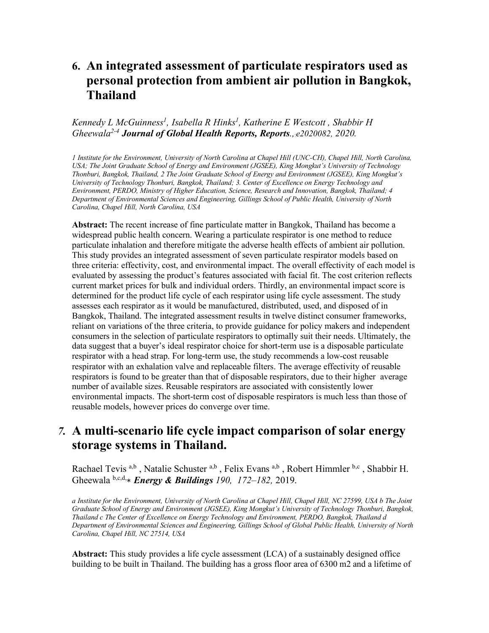# **6. An integrated assessment of particulate respirators used as personal protection from ambient air pollution in Bangkok, Thailand**

#### *Kennedy L McGuinness1 , Isabella R Hinks1 , Katherine E Westcott , Shabbir H Gheewala2-4 Journal of Global Health Reports, Reports.,*:*e2020082, 2020.*

*1 Institute for the Environment, University of North Carolina at Chapel Hill (UNC-CH), Chapel Hill, North Carolina, USA; The Joint Graduate School of Energy and Environment (JGSEE), King Mongkut's University of Technology Thonburi, Bangkok, Thailand, 2 The Joint Graduate School of Energy and Environment (JGSEE), King Mongkut's University of Technology Thonburi, Bangkok, Thailand; 3. Center of Excellence on Energy Technology and Environment, PERDO, Ministry of Higher Education, Science, Research and Innovation, Bangkok, Thailand; 4 Department of Environmental Sciences and Engineering, Gillings School of Public Health, University of North Carolina, Chapel Hill, North Carolina, USA*

**Abstract:** The recent increase of fine particulate matter in Bangkok, Thailand has become a widespread public health concern. Wearing a particulate respirator is one method to reduce particulate inhalation and therefore mitigate the adverse health effects of ambient air pollution. This study provides an integrated assessment of seven particulate respirator models based on three criteria: effectivity, cost, and environmental impact. The overall effectivity of each model is evaluated by assessing the product's features associated with facial fit. The cost criterion reflects current market prices for bulk and individual orders. Thirdly, an environmental impact score is determined for the product life cycle of each respirator using life cycle assessment. The study assesses each respirator as it would be manufactured, distributed, used, and disposed of in Bangkok, Thailand. The integrated assessment results in twelve distinct consumer frameworks, reliant on variations of the three criteria, to provide guidance for policy makers and independent consumers in the selection of particulate respirators to optimally suit their needs. Ultimately, the data suggest that a buyer's ideal respirator choice for short-term use is a disposable particulate respirator with a head strap. For long-term use, the study recommends a low-cost reusable respirator with an exhalation valve and replaceable filters. The average effectivity of reusable respirators is found to be greater than that of disposable respirators, due to their higher average number of available sizes. Reusable respirators are associated with consistently lower environmental impacts. The short-term cost of disposable respirators is much less than those of reusable models, however prices do converge over time.

## *7.* **A multi-scenario life cycle impact comparison of solar energy storage systems in Thailand.**

Rachael Tevis a,b, Natalie Schuster a,b, Felix Evans a,b, Robert Himmler b,c, Shabbir H. Gheewala b,c,d,∗ *Energy & Buildings 190, 172–182,* 2019.

*a Institute for the Environment, University of North Carolina at Chapel Hill, Chapel Hill, NC 27599, USA b The Joint Graduate School of Energy and Environment (JGSEE), King Mongkut's University of Technology Thonburi, Bangkok, Thailand c The Center of Excellence on Energy Technology and Environment, PERDO, Bangkok, Thailand d Department of Environmental Sciences and Engineering, Gillings School of Global Public Health, University of North Carolina, Chapel Hill, NC 27514, USA*

**Abstract:** This study provides a life cycle assessment (LCA) of a sustainably designed office building to be built in Thailand. The building has a gross floor area of 6300 m2 and a lifetime of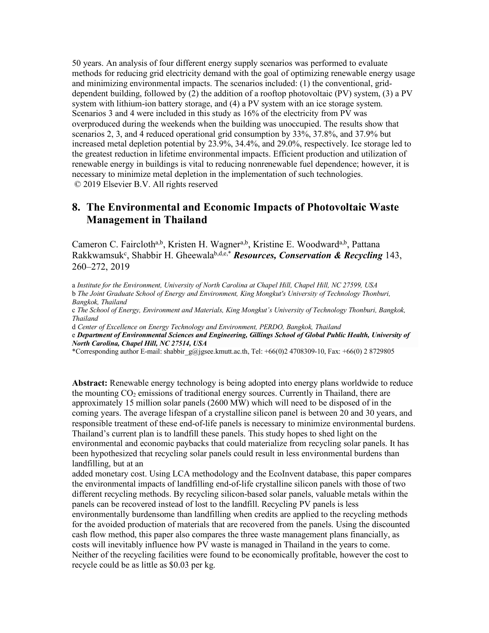50 years. An analysis of four different energy supply scenarios was performed to evaluate methods for reducing grid electricity demand with the goal of optimizing renewable energy usage and minimizing environmental impacts. The scenarios included: (1) the conventional, griddependent building, followed by (2) the addition of a rooftop photovoltaic (PV) system, (3) a PV system with lithium-ion battery storage, and (4) a PV system with an ice storage system. Scenarios 3 and 4 were included in this study as 16% of the electricity from PV was overproduced during the weekends when the building was unoccupied. The results show that scenarios 2, 3, and 4 reduced operational grid consumption by 33%, 37.8%, and 37.9% but increased metal depletion potential by 23.9%, 34.4%, and 29.0%, respectively. Ice storage led to the greatest reduction in lifetime environmental impacts. Efficient production and utilization of renewable energy in buildings is vital to reducing nonrenewable fuel dependence; however, it is necessary to minimize metal depletion in the implementation of such technologies. © 2019 Elsevier B.V. All rights reserved

### **8. The Environmental and Economic Impacts of Photovoltaic Waste Management in Thailand**

Cameron C. Faircloth<sup>a,b</sup>, Kristen H. Wagner<sup>a,b</sup>, Kristine E. Woodward<sup>a,b</sup>, Pattana Rakkwamsuk<sup>c</sup>, Shabbir H. Gheewala<sup>b,d,e,\*</sup> *Resources, Conservation & Recycling* 143, 260–272, 2019

a *Institute for the Environment, University of North Carolina at Chapel Hill, Chapel Hill, NC 27599, USA* b *The Joint Graduate School of Energy and Environment, King Mongkut's University of Technology Thonburi, Bangkok, Thailand*

c *The School of Energy, Environment and Materials, King Mongkut's University of Technology Thonburi, Bangkok, Thailand*

d *Center of Excellence on Energy Technology and Environment, PERDO, Bangkok, Thailand*

e *Department of Environmental Sciences and Engineering, Gillings School of Global Public Health, University of North Carolina, Chapel Hill, NC 27514, USA*

\*Corresponding author E-mail: shabbir\_g@jgsee.kmutt.ac.th, Tel:  $+66(0)2 4708309-10$ , Fax:  $+66(0) 2 8729805$ 

**Abstract:** Renewable energy technology is being adopted into energy plans worldwide to reduce the mounting  $CO<sub>2</sub>$  emissions of traditional energy sources. Currently in Thailand, there are approximately 15 million solar panels (2600 MW) which will need to be disposed of in the coming years. The average lifespan of a crystalline silicon panel is between 20 and 30 years, and responsible treatment of these end-of-life panels is necessary to minimize environmental burdens. Thailand's current plan is to landfill these panels. This study hopes to shed light on the environmental and economic paybacks that could materialize from recycling solar panels. It has been hypothesized that recycling solar panels could result in less environmental burdens than landfilling, but at an

added monetary cost. Using LCA methodology and the EcoInvent database, this paper compares the environmental impacts of landfilling end-of-life crystalline silicon panels with those of two different recycling methods. By recycling silicon-based solar panels, valuable metals within the panels can be recovered instead of lost to the landfill. Recycling PV panels is less environmentally burdensome than landfilling when credits are applied to the recycling methods for the avoided production of materials that are recovered from the panels. Using the discounted cash flow method, this paper also compares the three waste management plans financially, as costs will inevitably influence how PV waste is managed in Thailand in the years to come. Neither of the recycling facilities were found to be economically profitable, however the cost to recycle could be as little as \$0.03 per kg.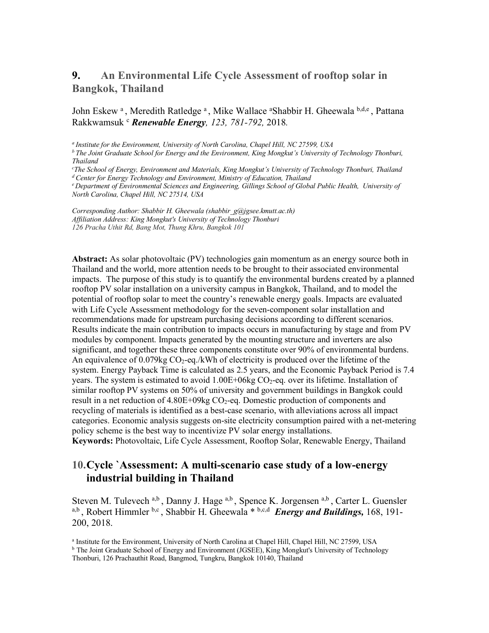## **9. An Environmental Life Cycle Assessment of rooftop solar in Bangkok, Thailand**

#### John Eskew<sup>a</sup>, Meredith Ratledge<sup>a</sup>, Mike Wallace <sup>a</sup>Shabbir H. Gheewala b,d,e, Pattana Rakkwamsuk c *Renewable Energy, 123, 781-792,* 2018*.*

*a Institute for the Environment, University of North Carolina, Chapel Hill, NC 27599, USA*

*b The Joint Graduate School for Energy and the Environment, King Mongkut's University of Technology Thonburi, Thailand*

*c The School of Energy, Environment and Materials, King Mongkut's University of Technology Thonburi, Thailand*

<sup>d</sup> Center for Energy Technology and Environment, Ministry of Education, Thailand<br><sup>e</sup> Department of Environmental Sciences and Engineering, Gillings School of Global Public Health, University of *North Carolina, Chapel Hill, NC 27514, USA*

*Corresponding Author: Shabbir H. Gheewala (shabbir\_g@jgsee.kmutt.ac.th) Affiliation Address: King Mongkut's University of Technology Thonburi 126 Pracha Uthit Rd, Bang Mot, Thung Khru, Bangkok 101*

**Abstract:** As solar photovoltaic (PV) technologies gain momentum as an energy source both in Thailand and the world, more attention needs to be brought to their associated environmental impacts. The purpose of this study is to quantify the environmental burdens created by a planned rooftop PV solar installation on a university campus in Bangkok, Thailand, and to model the potential of rooftop solar to meet the country's renewable energy goals. Impacts are evaluated with Life Cycle Assessment methodology for the seven-component solar installation and recommendations made for upstream purchasing decisions according to different scenarios. Results indicate the main contribution to impacts occurs in manufacturing by stage and from PV modules by component. Impacts generated by the mounting structure and inverters are also significant, and together these three components constitute over 90% of environmental burdens. An equivalence of  $0.079$ kg CO<sub>2</sub>-eq./kWh of electricity is produced over the lifetime of the system. Energy Payback Time is calculated as 2.5 years, and the Economic Payback Period is 7.4 years. The system is estimated to avoid  $1.00E+06kg CO<sub>2</sub>$ -eq. over its lifetime. Installation of similar rooftop PV systems on 50% of university and government buildings in Bangkok could result in a net reduction of  $4.80E+0.9kg CO<sub>2</sub>$ -eq. Domestic production of components and recycling of materials is identified as a best-case scenario, with alleviations across all impact categories. Economic analysis suggests on-site electricity consumption paired with a net-metering policy scheme is the best way to incentivize PV solar energy installations. **Keywords:** Photovoltaic, Life Cycle Assessment, Rooftop Solar, Renewable Energy, Thailand

### **10.Cycle `Assessment: A multi-scenario case study of a low-energy industrial building in Thailand**

Steven M. Tulevech a,b, Danny J. Hage a,b, Spence K. Jorgensen a,b, Carter L. Guensler a,b, Robert Himmler b,c, Shabbir H. Gheewala<sup>\* b,c,d</sup> *Energy and Buildings*, 168, 191-200, 2018.

<sup>a</sup> Institute for the Environment, University of North Carolina at Chapel Hill, Chapel Hill, NC 27599, USA

<sup>b</sup> The Joint Graduate School of Energy and Environment (JGSEE), King Mongkut's University of Technology Thonburi, 126 Prachauthit Road, Bangmod, Tungkru, Bangkok 10140, Thailand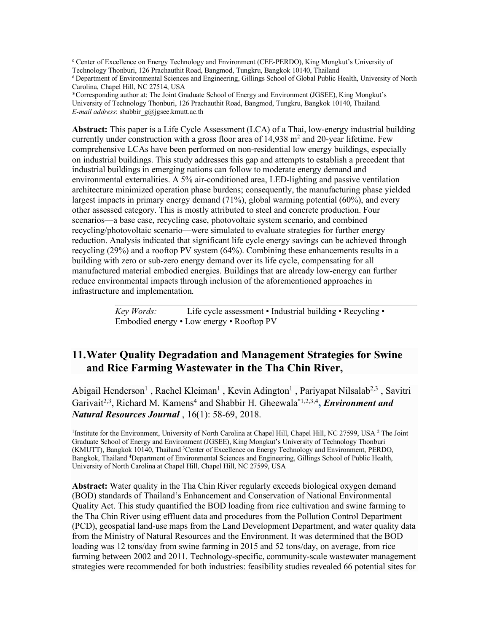<sup>c</sup> Center of Excellence on Energy Technology and Environment (CEE-PERDO), King Mongkut's University of Technology Thonburi, 126 Prachauthit Road, Bangmod, Tungkru, Bangkok 10140, Thailand d Department of Environmental Sciences and Engineering, Gillings School of Global Public Health, University of North Carolina, Chapel Hill, NC 27514, USA

\*Corresponding author at: The Joint Graduate School of Energy and Environment (JGSEE), King Mongkut's University of Technology Thonburi, 126 Prachauthit Road, Bangmod, Tungkru, Bangkok 10140, Thailand. *E-mail address*: shabbir\_g@jgsee.kmutt.ac.th

**Abstract:** This paper is a Life Cycle Assessment (LCA) of a Thai, low-energy industrial building currently under construction with a gross floor area of  $14.938 \text{ m}^2$  and 20-year lifetime. Few comprehensive LCAs have been performed on non-residential low energy buildings, especially on industrial buildings. This study addresses this gap and attempts to establish a precedent that industrial buildings in emerging nations can follow to moderate energy demand and environmental externalities. A 5% air-conditioned area, LED-lighting and passive ventilation architecture minimized operation phase burdens; consequently, the manufacturing phase yielded largest impacts in primary energy demand (71%), global warming potential (60%), and every other assessed category. This is mostly attributed to steel and concrete production. Four scenarios—a base case, recycling case, photovoltaic system scenario, and combined recycling/photovoltaic scenario—were simulated to evaluate strategies for further energy reduction. Analysis indicated that significant life cycle energy savings can be achieved through recycling (29%) and a rooftop PV system (64%). Combining these enhancements results in a building with zero or sub-zero energy demand over its life cycle, compensating for all manufactured material embodied energies. Buildings that are already low-energy can further reduce environmental impacts through inclusion of the aforementioned approaches in infrastructure and implementation.

> *Key Words:* Life cycle assessment • Industrial building • Recycling • Embodied energy • Low energy • Rooftop PV

### **11.Water Quality Degradation and Management Strategies for Swine and Rice Farming Wastewater in the Tha Chin River,**

Abigail Henderson<sup>1</sup>, Rachel Kleiman<sup>1</sup>, Kevin Adington<sup>1</sup>, Pariyapat Nilsalab<sup>2,3</sup>, Savitri Garivait<sup>2,3</sup>, Richard M. Kamens<sup>4</sup> and Shabbir H. Gheewala<sup>\*1,2,3,4</sup>, *Environment and Natural Resources Journal* , 16(1): 58-69, 2018.

<sup>1</sup>Institute for the Environment, University of North Carolina at Chapel Hill, Chapel Hill, NC 27599, USA <sup>2</sup> The Joint Graduate School of Energy and Environment (JGSEE), King Mongkut's University of Technology Thonburi (KMUTT), Bangkok 10140, Thailand <sup>3</sup>Center of Excellence on Energy Technology and Environment, PERDO, Bangkok, Thailand 4Department of Environmental Sciences and Engineering, Gillings School of Public Health, University of North Carolina at Chapel Hill, Chapel Hill, NC 27599, USA

**Abstract:** Water quality in the Tha Chin River regularly exceeds biological oxygen demand (BOD) standards of Thailand's Enhancement and Conservation of National Environmental Quality Act. This study quantified the BOD loading from rice cultivation and swine farming to the Tha Chin River using effluent data and procedures from the Pollution Control Department (PCD), geospatial land-use maps from the Land Development Department, and water quality data from the Ministry of Natural Resources and the Environment. It was determined that the BOD loading was 12 tons/day from swine farming in 2015 and 52 tons/day, on average, from rice farming between 2002 and 2011. Technology-specific, community-scale wastewater management strategies were recommended for both industries: feasibility studies revealed 66 potential sites for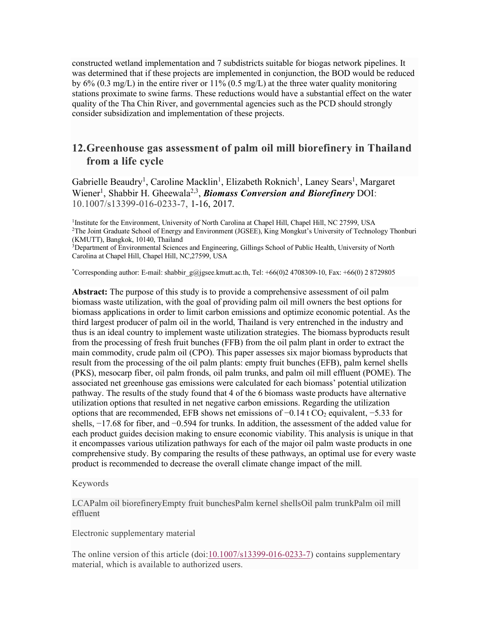constructed wetland implementation and 7 subdistricts suitable for biogas network pipelines. It was determined that if these projects are implemented in conjunction, the BOD would be reduced by  $6\%$  (0.3 mg/L) in the entire river or  $11\%$  (0.5 mg/L) at the three water quality monitoring stations proximate to swine farms. These reductions would have a substantial effect on the water quality of the Tha Chin River, and governmental agencies such as the PCD should strongly consider subsidization and implementation of these projects.

## **12.Greenhouse gas assessment of palm oil mill biorefinery in Thailand from a life cycle**

Gabrielle Beaudry<sup>1</sup>, Caroline Macklin<sup>1</sup>, Elizabeth Roknich<sup>1</sup>, Laney Sears<sup>1</sup>, Margaret Wiener<sup>1</sup>, Shabbir H. Gheewala<sup>2,3</sup>, *Biomass Conversion and Biorefinery* DOI: 10.1007/s13399-016-0233-7, 1-16, 2017.

<sup>1</sup>Institute for the Environment, University of North Carolina at Chapel Hill, Chapel Hill, NC 27599, USA 2The Joint Graduate School of Energy and Environment (JGSEE), King Mongkut's University of Technology Thonburi (KMUTT), Bangkok, 10140, Thailand

<sup>3</sup>Department of Environmental Sciences and Engineering, Gillings School of Public Health, University of North Carolina at Chapel Hill, Chapel Hill, NC,27599, USA

\* Corresponding author: E-mail: shabbir\_g@jgsee.kmutt.ac.th, Tel: +66(0)2 4708309-10, Fax: +66(0) 2 8729805

**Abstract:** The purpose of this study is to provide a comprehensive assessment of oil palm biomass waste utilization, with the goal of providing palm oil mill owners the best options for biomass applications in order to limit carbon emissions and optimize economic potential. As the third largest producer of palm oil in the world, Thailand is very entrenched in the industry and thus is an ideal country to implement waste utilization strategies. The biomass byproducts result from the processing of fresh fruit bunches (FFB) from the oil palm plant in order to extract the main commodity, crude palm oil (CPO). This paper assesses six major biomass byproducts that result from the processing of the oil palm plants: empty fruit bunches (EFB), palm kernel shells (PKS), mesocarp fiber, oil palm fronds, oil palm trunks, and palm oil mill effluent (POME). The associated net greenhouse gas emissions were calculated for each biomass' potential utilization pathway. The results of the study found that 4 of the 6 biomass waste products have alternative utilization options that resulted in net negative carbon emissions. Regarding the utilization options that are recommended, EFB shows net emissions of  $-0.14$  t CO<sub>2</sub> equivalent,  $-5.33$  for shells,  $-17.68$  for fiber, and  $-0.594$  for trunks. In addition, the assessment of the added value for each product guides decision making to ensure economic viability. This analysis is unique in that it encompasses various utilization pathways for each of the major oil palm waste products in one comprehensive study. By comparing the results of these pathways, an optimal use for every waste product is recommended to decrease the overall climate change impact of the mill.

#### Keywords

LCAPalm oil biorefineryEmpty fruit bunchesPalm kernel shellsOil palm trunkPalm oil mill effluent

#### Electronic supplementary material

The online version of this article (doi:10.1007/s13399-016-0233-7) contains supplementary material, which is available to authorized users.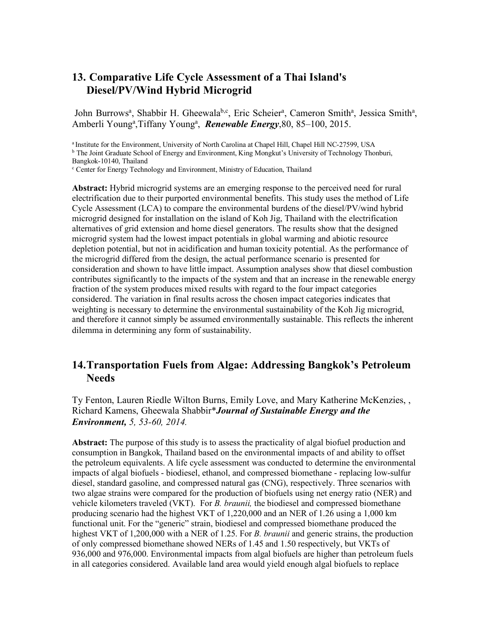### **13. Comparative Life Cycle Assessment of a Thai Island's Diesel/PV/Wind Hybrid Microgrid**

John Burrows<sup>a</sup>, Shabbir H. Gheewala<sup>b,c</sup>, Eric Scheier<sup>a</sup>, Cameron Smith<sup>a</sup>, Jessica Smith<sup>a</sup>, Amberli Young<sup>a</sup>, Tiffany Young<sup>a</sup>, **Renewable Energy**, 80, 85-100, 2015.

<sup>a</sup> Institute for the Environment, University of North Carolina at Chapel Hill, Chapel Hill NC-27599, USA

<sup>b</sup> The Joint Graduate School of Energy and Environment, King Mongkut's University of Technology Thonburi, Bangkok-10140, Thailand

<sup>c</sup> Center for Energy Technology and Environment, Ministry of Education, Thailand

**Abstract:** Hybrid microgrid systems are an emerging response to the perceived need for rural electrification due to their purported environmental benefits. This study uses the method of Life Cycle Assessment (LCA) to compare the environmental burdens of the diesel/PV/wind hybrid microgrid designed for installation on the island of Koh Jig, Thailand with the electrification alternatives of grid extension and home diesel generators. The results show that the designed microgrid system had the lowest impact potentials in global warming and abiotic resource depletion potential, but not in acidification and human toxicity potential. As the performance of the microgrid differed from the design, the actual performance scenario is presented for consideration and shown to have little impact. Assumption analyses show that diesel combustion contributes significantly to the impacts of the system and that an increase in the renewable energy fraction of the system produces mixed results with regard to the four impact categories considered. The variation in final results across the chosen impact categories indicates that weighting is necessary to determine the environmental sustainability of the Koh Jig microgrid, and therefore it cannot simply be assumed environmentally sustainable. This reflects the inherent dilemma in determining any form of sustainability.

### **14.Transportation Fuels from Algae: Addressing Bangkok's Petroleum Needs**

Ty Fenton, Lauren Riedle Wilton Burns, Emily Love, and Mary Katherine McKenzies, , Richard Kamens, Gheewala Shabbir\**Journal of Sustainable Energy and the Environment, 5, 53-60, 2014.*

**Abstract:** The purpose of this study is to assess the practicality of algal biofuel production and consumption in Bangkok, Thailand based on the environmental impacts of and ability to offset the petroleum equivalents. A life cycle assessment was conducted to determine the environmental impacts of algal biofuels - biodiesel, ethanol, and compressed biomethane - replacing low-sulfur diesel, standard gasoline, and compressed natural gas (CNG), respectively. Three scenarios with two algae strains were compared for the production of biofuels using net energy ratio (NER) and vehicle kilometers traveled (VKT). For *B. braunii,* the biodiesel and compressed biomethane producing scenario had the highest VKT of 1,220,000 and an NER of 1.26 using a 1,000 km functional unit. For the "generic" strain, biodiesel and compressed biomethane produced the highest VKT of 1,200,000 with a NER of 1.25. For *B. braunii* and generic strains, the production of only compressed biomethane showed NERs of 1.45 and 1.50 respectively, but VKTs of 936,000 and 976,000. Environmental impacts from algal biofuels are higher than petroleum fuels in all categories considered. Available land area would yield enough algal biofuels to replace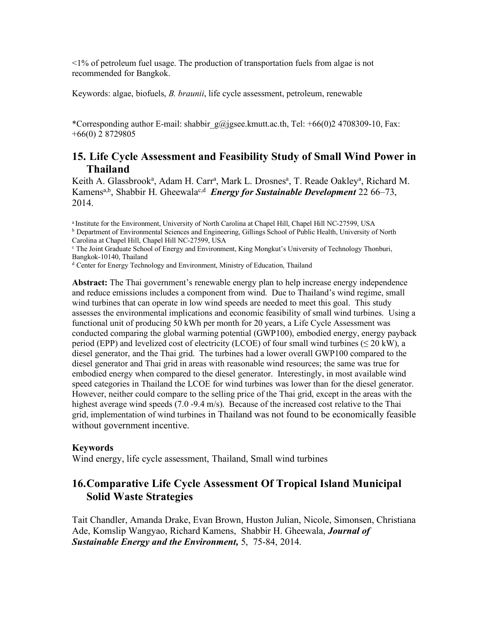<1% of petroleum fuel usage. The production of transportation fuels from algae is not recommended for Bangkok.

Keywords: algae, biofuels, *B. braunii*, life cycle assessment, petroleum, renewable

\*Corresponding author E-mail: shabbir  $g\omega$  jgsee.kmutt.ac.th, Tel: +66(0)2 4708309-10, Fax: +66(0) 2 8729805

#### **15. Life Cycle Assessment and Feasibility Study of Small Wind Power in Thailand**

Keith A. Glassbrook<sup>a</sup>, Adam H. Carr<sup>a</sup>, Mark L. Drosnes<sup>a</sup>, T. Reade Oakley<sup>a</sup>, Richard M. Kamens<sup>a,b</sup>, Shabbir H. Gheewala<sup>c,d</sup> *Energy for Sustainable Development* 22 66–73, 2014.

<sup>a</sup> Institute for the Environment, University of North Carolina at Chapel Hill, Chapel Hill NC-27599, USA <sup>b</sup> Department of Environmental Sciences and Engineering, Gillings School of Public Health, University of North Carolina at Chapel Hill, Chapel Hill NC-27599, USA

<sup>c</sup> The Joint Graduate School of Energy and Environment, King Mongkut's University of Technology Thonburi, Bangkok-10140, Thailand

<sup>d</sup> Center for Energy Technology and Environment, Ministry of Education, Thailand

**Abstract:** The Thai government's renewable energy plan to help increase energy independence and reduce emissions includes a component from wind. Due to Thailand's wind regime, small wind turbines that can operate in low wind speeds are needed to meet this goal. This study assesses the environmental implications and economic feasibility of small wind turbines. Using a functional unit of producing 50 kWh per month for 20 years, a Life Cycle Assessment was conducted comparing the global warming potential (GWP100), embodied energy, energy payback period (EPP) and levelized cost of electricity (LCOE) of four small wind turbines ( $\leq 20$  kW), a diesel generator, and the Thai grid. The turbines had a lower overall GWP100 compared to the diesel generator and Thai grid in areas with reasonable wind resources; the same was true for embodied energy when compared to the diesel generator. Interestingly, in most available wind speed categories in Thailand the LCOE for wind turbines was lower than for the diesel generator. However, neither could compare to the selling price of the Thai grid, except in the areas with the highest average wind speeds (7.0 -9.4 m/s). Because of the increased cost relative to the Thai grid, implementation of wind turbines in Thailand was not found to be economically feasible without government incentive.

#### **Keywords**

Wind energy, life cycle assessment, Thailand, Small wind turbines

### **16.Comparative Life Cycle Assessment Of Tropical Island Municipal Solid Waste Strategies**

Tait Chandler, Amanda Drake, Evan Brown, Huston Julian, Nicole, Simonsen, Christiana Ade, Komslip Wangyao, Richard Kamens, Shabbir H. Gheewala, *Journal of Sustainable Energy and the Environment,* 5, 75-84, 2014.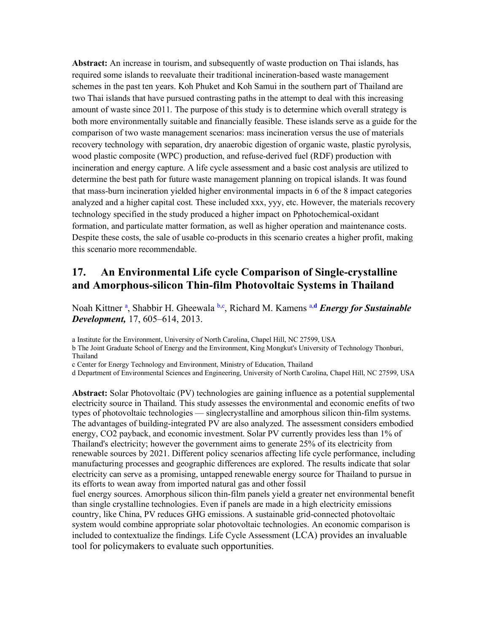**Abstract:** An increase in tourism, and subsequently of waste production on Thai islands, has required some islands to reevaluate their traditional incineration-based waste management schemes in the past ten years. Koh Phuket and Koh Samui in the southern part of Thailand are two Thai islands that have pursued contrasting paths in the attempt to deal with this increasing amount of waste since 2011. The purpose of this study is to determine which overall strategy is both more environmentally suitable and financially feasible. These islands serve as a guide for the comparison of two waste management scenarios: mass incineration versus the use of materials recovery technology with separation, dry anaerobic digestion of organic waste, plastic pyrolysis, wood plastic composite (WPC) production, and refuse-derived fuel (RDF) production with incineration and energy capture. A life cycle assessment and a basic cost analysis are utilized to determine the best path for future waste management planning on tropical islands. It was found that mass-burn incineration yielded higher environmental impacts in 6 of the 8 impact categories analyzed and a higher capital cost. These included xxx, yyy, etc. However, the materials recovery technology specified in the study produced a higher impact on Pphotochemical-oxidant formation, and particulate matter formation, as well as higher operation and maintenance costs. Despite these costs, the sale of usable co-products in this scenario creates a higher profit, making this scenario more recommendable.

## **17. An Environmental Life cycle Comparison of Single-crystalline and Amorphous-silicon Thin-film Photovoltaic Systems in Thailand**

Noah Kittner<sup>a</sup>, Shabbir H. Gheewala<sup>b, c</sup>, Richard M. Kamens<sup>a, d</sup> *Energy for Sustainable Development,* 17, 605–614, 2013.

a Institute for the Environment, University of North Carolina, Chapel Hill, NC 27599, USA

b The Joint Graduate School of Energy and the Environment, King Mongkut's University of Technology Thonburi, Thailand

c Center for Energy Technology and Environment, Ministry of Education, Thailand

d Department of Environmental Sciences and Engineering, University of North Carolina, Chapel Hill, NC 27599, USA

**Abstract:** Solar Photovoltaic (PV) technologies are gaining influence as a potential supplemental electricity source in Thailand. This study assesses the environmental and economic enefits of two types of photovoltaic technologies — singlecrystalline and amorphous silicon thin-film systems. The advantages of building-integrated PV are also analyzed. The assessment considers embodied energy, CO2 payback, and economic investment. Solar PV currently provides less than 1% of Thailand's electricity; however the government aims to generate 25% of its electricity from renewable sources by 2021. Different policy scenarios affecting life cycle performance, including manufacturing processes and geographic differences are explored. The results indicate that solar electricity can serve as a promising, untapped renewable energy source for Thailand to pursue in its efforts to wean away from imported natural gas and other fossil

fuel energy sources. Amorphous silicon thin-film panels yield a greater net environmental benefit than single crystalline technologies. Even if panels are made in a high electricity emissions country, like China, PV reduces GHG emissions. A sustainable grid-connected photovoltaic system would combine appropriate solar photovoltaic technologies. An economic comparison is included to contextualize the findings. Life Cycle Assessment (LCA) provides an invaluable tool for policymakers to evaluate such opportunities.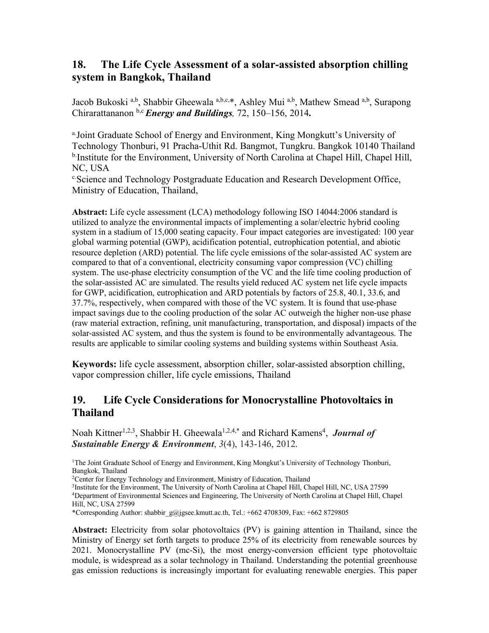## **18. The Life Cycle Assessment of a solar-assisted absorption chilling system in Bangkok, Thailand**

Jacob Bukoski a,b, Shabbir Gheewala a,b,c,\*, Ashley Mui a,b, Mathew Smead a,b, Surapong Chirarattananon b,c *Energy and Buildings,* 72, 150–156, 2014**.**

a.Joint Graduate School of Energy and Environment, King Mongkutt's University of Technology Thonburi, 91 Pracha-Uthit Rd. Bangmot, Tungkru. Bangkok 10140 Thailand <sup>b</sup>.Institute for the Environment, University of North Carolina at Chapel Hill, Chapel Hill, NC, USA

c.Science and Technology Postgraduate Education and Research Development Office, Ministry of Education, Thailand,

**Abstract:** Life cycle assessment (LCA) methodology following ISO 14044:2006 standard is utilized to analyze the environmental impacts of implementing a solar/electric hybrid cooling system in a stadium of 15,000 seating capacity. Four impact categories are investigated: 100 year global warming potential (GWP), acidification potential, eutrophication potential, and abiotic resource depletion (ARD) potential. The life cycle emissions of the solar-assisted AC system are compared to that of a conventional, electricity consuming vapor compression (VC) chilling system. The use-phase electricity consumption of the VC and the life time cooling production of the solar-assisted AC are simulated. The results yield reduced AC system net life cycle impacts for GWP, acidification, eutrophication and ARD potentials by factors of 25.8, 40.1, 33.6, and 37.7%, respectively, when compared with those of the VC system. It is found that use-phase impact savings due to the cooling production of the solar AC outweigh the higher non-use phase (raw material extraction, refining, unit manufacturing, transportation, and disposal) impacts of the solar-assisted AC system, and thus the system is found to be environmentally advantageous. The results are applicable to similar cooling systems and building systems within Southeast Asia.

**Keywords:** life cycle assessment, absorption chiller, solar-assisted absorption chilling, vapor compression chiller, life cycle emissions, Thailand

## **19. Life Cycle Considerations for Monocrystalline Photovoltaics in Thailand**

Noah Kittner<sup>1,2,3</sup>, Shabbir H. Gheewala<sup>1,2,4,\*</sup> and Richard Kamens<sup>4</sup>, *Journal of Sustainable Energy & Environment*, *3*(4), 143-146, 2012.

1The Joint Graduate School of Energy and Environment, King Mongkut's University of Technology Thonburi, Bangkok, Thailand

<sup>2</sup> Center for Energy Technology and Environment, Ministry of Education, Thailand

<sup>3</sup>Institute for the Environment, The University of North Carolina at Chapel Hill, Chapel Hill, NC, USA 27599

4Department of Environmental Sciences and Engineering, The University of North Carolina at Chapel Hill, Chapel Hill, NC, USA 27599

\*Corresponding Author: shabbir\_g@jgsee.kmutt.ac.th, Tel.: +662 4708309, Fax: +662 8729805

**Abstract:** Electricity from solar photovoltaics (PV) is gaining attention in Thailand, since the Ministry of Energy set forth targets to produce 25% of its electricity from renewable sources by 2021. Monocrystalline PV (mc-Si), the most energy-conversion efficient type photovoltaic module, is widespread as a solar technology in Thailand. Understanding the potential greenhouse gas emission reductions is increasingly important for evaluating renewable energies. This paper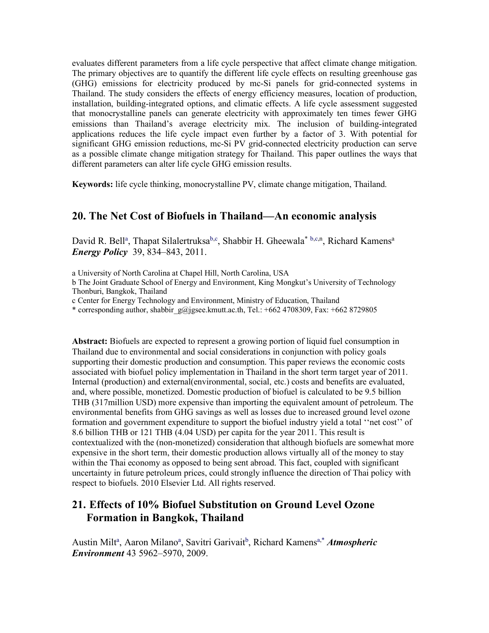evaluates different parameters from a life cycle perspective that affect climate change mitigation. The primary objectives are to quantify the different life cycle effects on resulting greenhouse gas (GHG) emissions for electricity produced by mc-Si panels for grid-connected systems in Thailand. The study considers the effects of energy efficiency measures, location of production, installation, building-integrated options, and climatic effects. A life cycle assessment suggested that monocrystalline panels can generate electricity with approximately ten times fewer GHG emissions than Thailand's average electricity mix. The inclusion of building-integrated applications reduces the life cycle impact even further by a factor of 3. With potential for significant GHG emission reductions, mc-Si PV grid-connected electricity production can serve as a possible climate change mitigation strategy for Thailand. This paper outlines the ways that different parameters can alter life cycle GHG emission results.

**Keywords:** life cycle thinking, monocrystalline PV, climate change mitigation, Thailand.

### **20. The Net Cost of Biofuels in Thailand—An economic analysis**

David R. Bell<sup>a</sup>, Thapat Silalertruksa<sup>b,c</sup>, Shabbir H. Gheewala<sup>\* b,c,n</sup>, Richard Kamens<sup>a</sup> *Energy Policy* 39, 834–843, 2011.

a University of North Carolina at Chapel Hill, North Carolina, USA

b The Joint Graduate School of Energy and Environment, King Mongkut's University of Technology Thonburi, Bangkok, Thailand

c Center for Energy Technology and Environment, Ministry of Education, Thailand

\* corresponding author, shabbir\_g@jgsee.kmutt.ac.th, Tel.: +662 4708309, Fax: +662 8729805

**Abstract:** Biofuels are expected to represent a growing portion of liquid fuel consumption in Thailand due to environmental and social considerations in conjunction with policy goals supporting their domestic production and consumption. This paper reviews the economic costs associated with biofuel policy implementation in Thailand in the short term target year of 2011. Internal (production) and external(environmental, social, etc.) costs and benefits are evaluated, and, where possible, monetized. Domestic production of biofuel is calculated to be 9.5 billion THB (317million USD) more expensive than importing the equivalent amount of petroleum. The environmental benefits from GHG savings as well as losses due to increased ground level ozone formation and government expenditure to support the biofuel industry yield a total ''net cost'' of 8.6 billion THB or 121 THB (4.04 USD) per capita for the year 2011. This result is contextualized with the (non-monetized) consideration that although biofuels are somewhat more expensive in the short term, their domestic production allows virtually all of the money to stay within the Thai economy as opposed to being sent abroad. This fact, coupled with significant uncertainty in future petroleum prices, could strongly influence the direction of Thai policy with respect to biofuels. 2010 Elsevier Ltd. All rights reserved.

## **21. Effects of 10% Biofuel Substitution on Ground Level Ozone Formation in Bangkok, Thailand**

Austin Milt<sup>a</sup>, Aaron Milano<sup>a</sup>, Savitri Garivait<sup>b</sup>, Richard Kamens<sup>a,\*</sup> Atmospheric *Environment* 43 5962–5970, 2009.